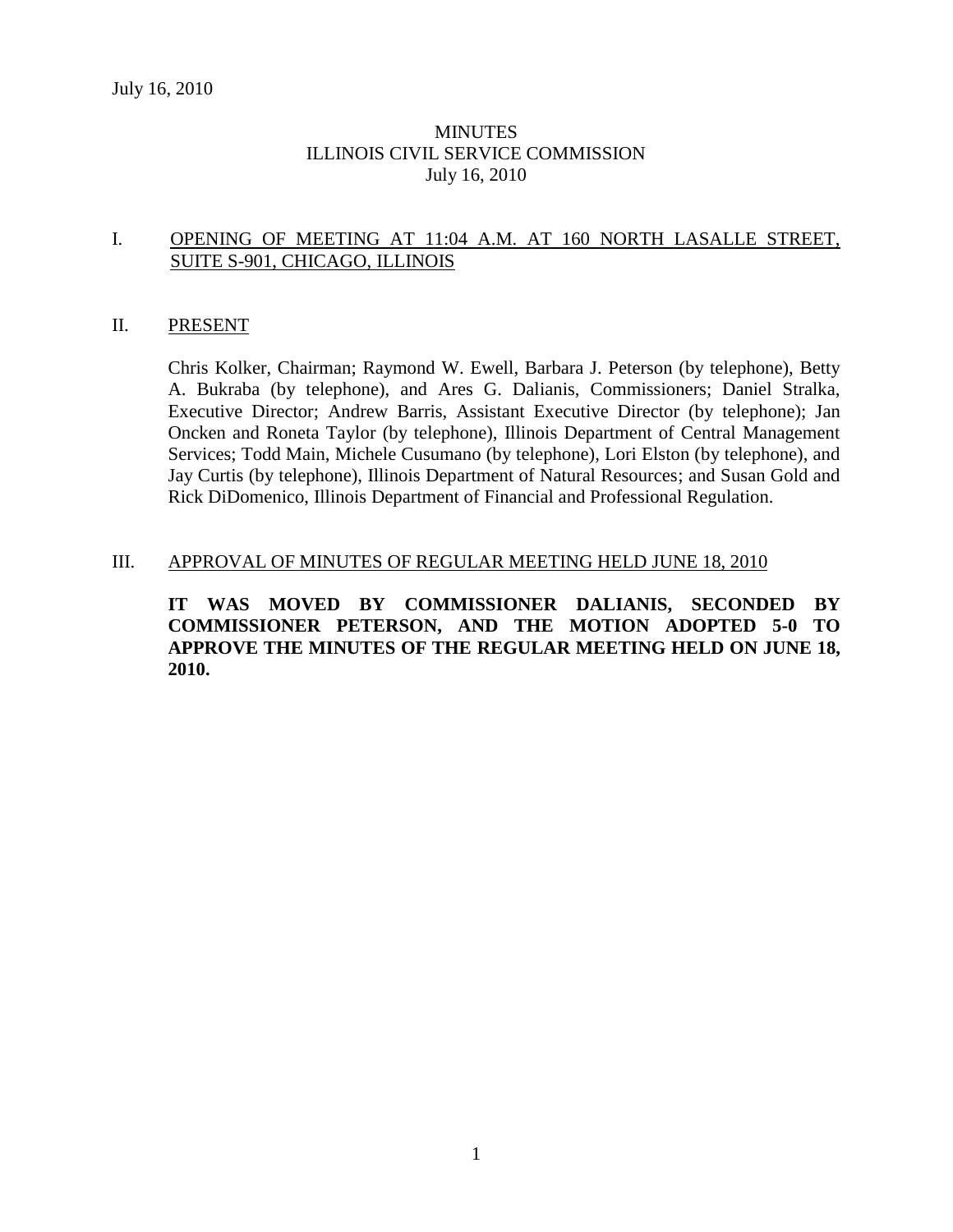# **MINUTES** ILLINOIS CIVIL SERVICE COMMISSION July 16, 2010

### I. OPENING OF MEETING AT 11:04 A.M. AT 160 NORTH LASALLE STREET, SUITE S-901, CHICAGO, ILLINOIS

#### II. PRESENT

Chris Kolker, Chairman; Raymond W. Ewell, Barbara J. Peterson (by telephone), Betty A. Bukraba (by telephone), and Ares G. Dalianis, Commissioners; Daniel Stralka, Executive Director; Andrew Barris, Assistant Executive Director (by telephone); Jan Oncken and Roneta Taylor (by telephone), Illinois Department of Central Management Services; Todd Main, Michele Cusumano (by telephone), Lori Elston (by telephone), and Jay Curtis (by telephone), Illinois Department of Natural Resources; and Susan Gold and Rick DiDomenico, Illinois Department of Financial and Professional Regulation.

#### III. APPROVAL OF MINUTES OF REGULAR MEETING HELD JUNE 18, 2010

**IT WAS MOVED BY COMMISSIONER DALIANIS, SECONDED BY COMMISSIONER PETERSON, AND THE MOTION ADOPTED 5-0 TO APPROVE THE MINUTES OF THE REGULAR MEETING HELD ON JUNE 18, 2010.**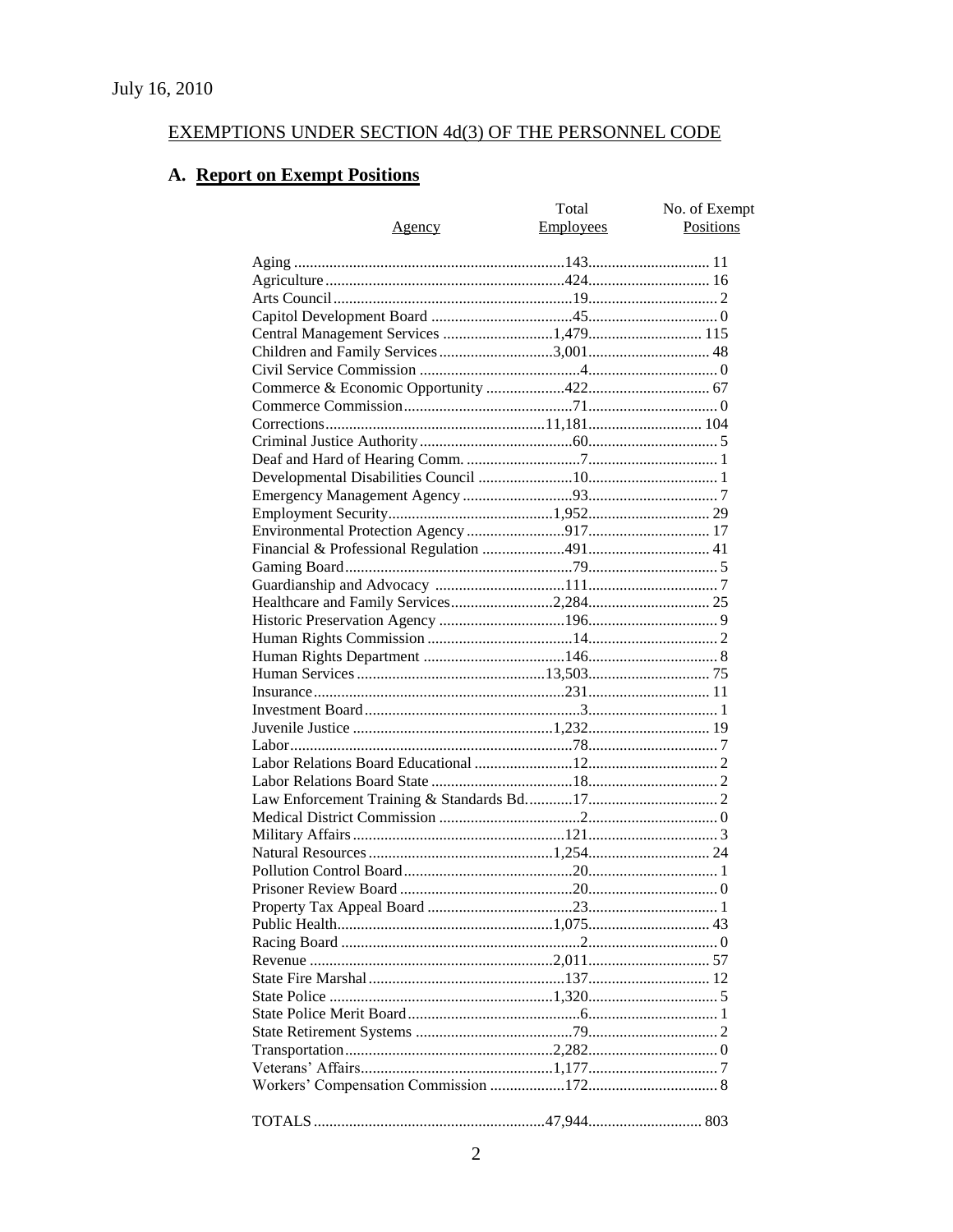# EXEMPTIONS UNDER SECTION 4d(3) OF THE PERSONNEL CODE

# A. Report on Exempt Positions

|                                       | Total            | No. of Exempt |
|---------------------------------------|------------------|---------------|
| Agency                                | <b>Employees</b> | Positions     |
|                                       |                  |               |
|                                       |                  |               |
|                                       |                  |               |
|                                       |                  |               |
|                                       |                  |               |
| Central Management Services 1,479 115 |                  |               |
|                                       |                  |               |
|                                       |                  |               |
|                                       |                  |               |
|                                       |                  |               |
|                                       |                  |               |
|                                       |                  |               |
|                                       |                  |               |
|                                       |                  |               |
|                                       |                  |               |
|                                       |                  |               |
|                                       |                  |               |
|                                       |                  |               |
|                                       |                  |               |
|                                       |                  |               |
|                                       |                  |               |
|                                       |                  |               |
|                                       |                  |               |
|                                       |                  |               |
|                                       |                  |               |
|                                       |                  |               |
|                                       |                  |               |
|                                       |                  |               |
|                                       |                  |               |
|                                       |                  |               |
|                                       |                  |               |
|                                       |                  |               |
|                                       |                  |               |
|                                       |                  |               |
|                                       |                  |               |
|                                       |                  |               |
|                                       |                  |               |
|                                       |                  |               |
|                                       |                  |               |
|                                       |                  |               |
|                                       |                  |               |
|                                       |                  |               |
|                                       |                  |               |
|                                       |                  |               |
|                                       |                  |               |
|                                       |                  |               |
|                                       |                  |               |
|                                       |                  |               |
|                                       |                  |               |
|                                       |                  |               |
|                                       |                  |               |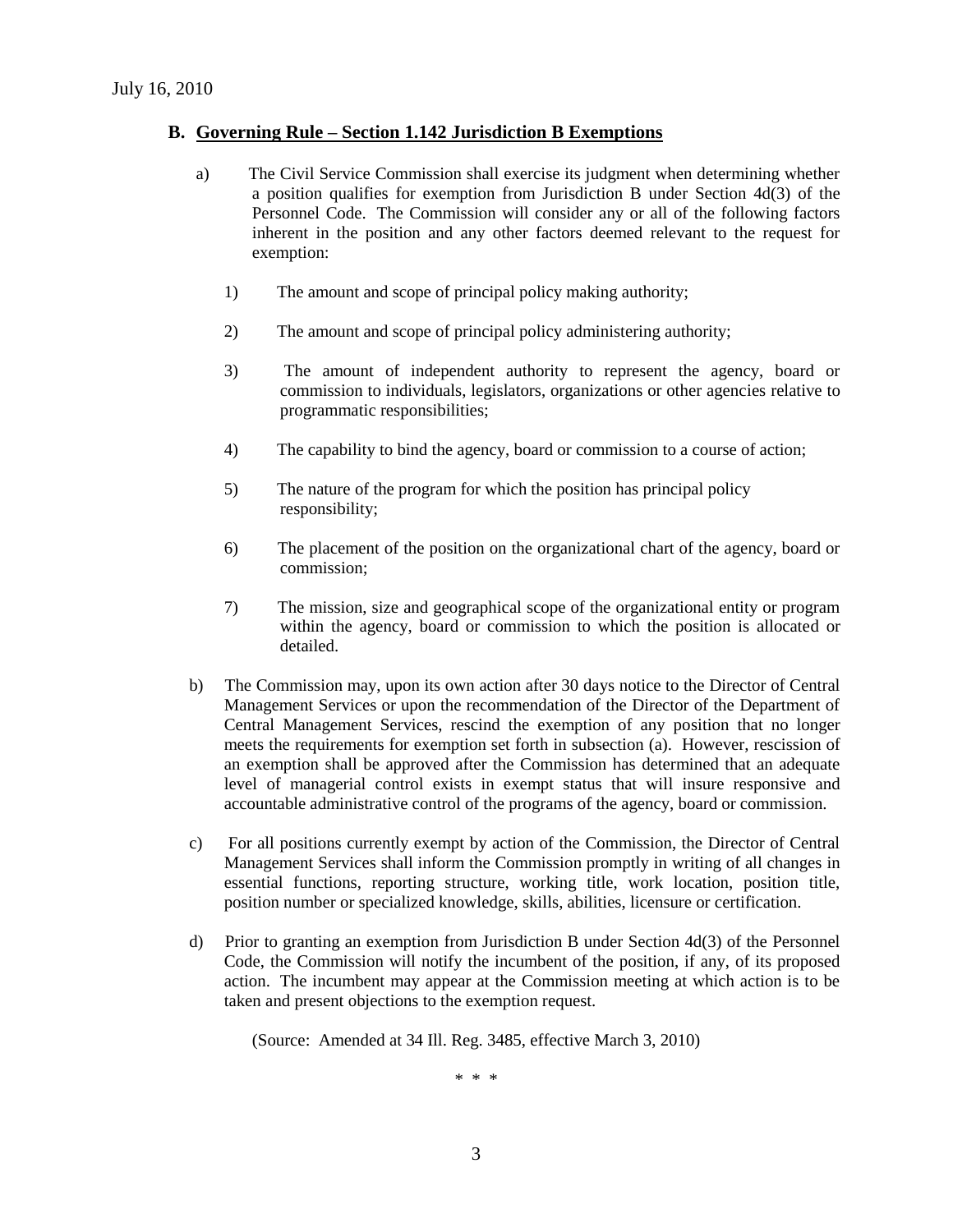#### **B. Governing Rule – Section 1.142 Jurisdiction B Exemptions**

- a) The Civil Service Commission shall exercise its judgment when determining whether a position qualifies for exemption from Jurisdiction B under Section 4d(3) of the Personnel Code. The Commission will consider any or all of the following factors inherent in the position and any other factors deemed relevant to the request for exemption:
	- 1) The amount and scope of principal policy making authority;
	- 2) The amount and scope of principal policy administering authority;
	- 3) The amount of independent authority to represent the agency, board or commission to individuals, legislators, organizations or other agencies relative to programmatic responsibilities;
	- 4) The capability to bind the agency, board or commission to a course of action;
	- 5) The nature of the program for which the position has principal policy responsibility;
	- 6) The placement of the position on the organizational chart of the agency, board or commission;
	- 7) The mission, size and geographical scope of the organizational entity or program within the agency, board or commission to which the position is allocated or detailed.
- b) The Commission may, upon its own action after 30 days notice to the Director of Central Management Services or upon the recommendation of the Director of the Department of Central Management Services, rescind the exemption of any position that no longer meets the requirements for exemption set forth in subsection (a). However, rescission of an exemption shall be approved after the Commission has determined that an adequate level of managerial control exists in exempt status that will insure responsive and accountable administrative control of the programs of the agency, board or commission.
- c) For all positions currently exempt by action of the Commission, the Director of Central Management Services shall inform the Commission promptly in writing of all changes in essential functions, reporting structure, working title, work location, position title, position number or specialized knowledge, skills, abilities, licensure or certification.
- d) Prior to granting an exemption from Jurisdiction B under Section 4d(3) of the Personnel Code, the Commission will notify the incumbent of the position, if any, of its proposed action. The incumbent may appear at the Commission meeting at which action is to be taken and present objections to the exemption request.

(Source: Amended at 34 Ill. Reg. 3485, effective March 3, 2010)

\* \* \*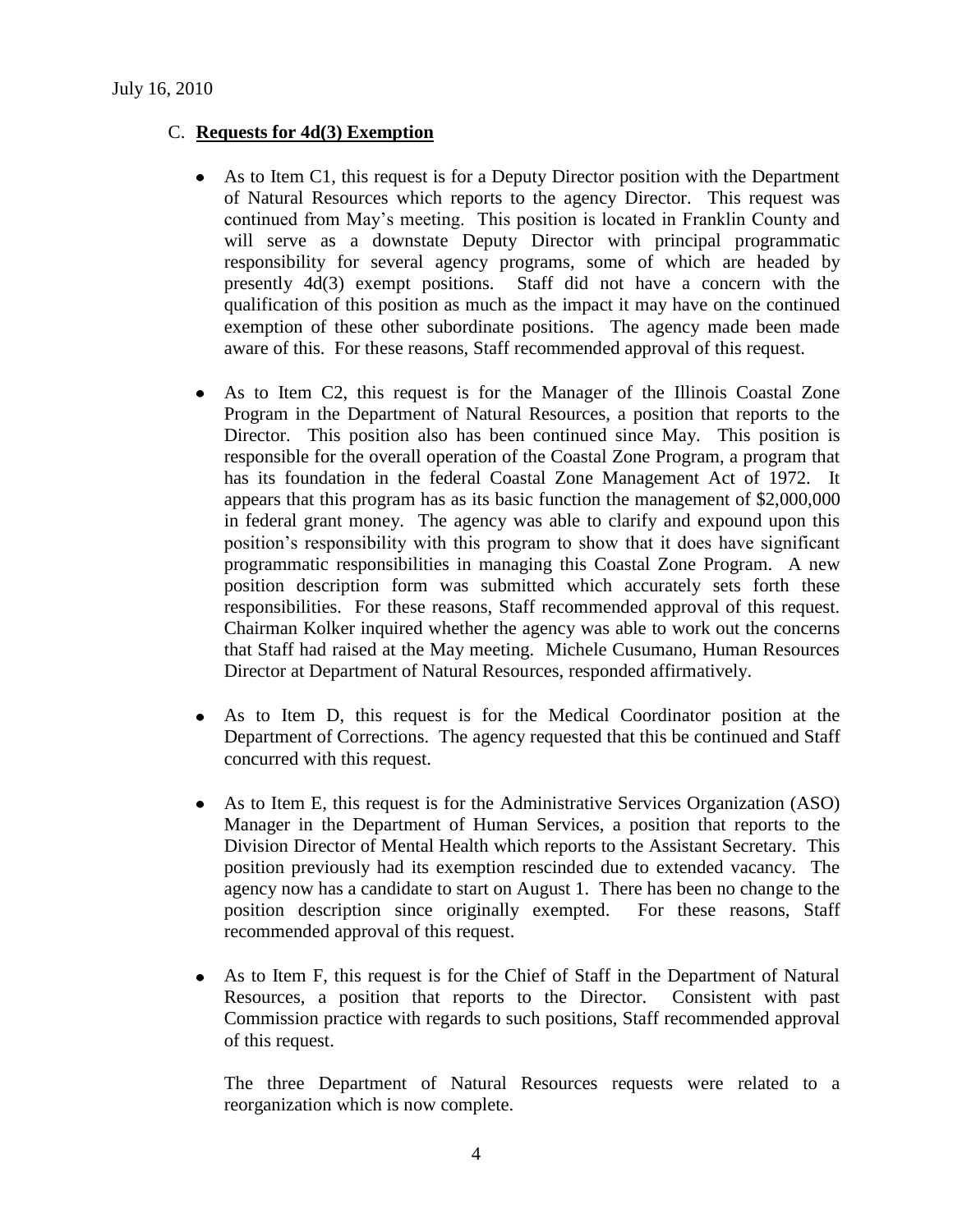### C. **Requests for 4d(3) Exemption**

- As to Item C1, this request is for a Deputy Director position with the Department of Natural Resources which reports to the agency Director. This request was continued from May's meeting. This position is located in Franklin County and will serve as a downstate Deputy Director with principal programmatic responsibility for several agency programs, some of which are headed by presently 4d(3) exempt positions. Staff did not have a concern with the qualification of this position as much as the impact it may have on the continued exemption of these other subordinate positions. The agency made been made aware of this. For these reasons, Staff recommended approval of this request.
- As to Item C2, this request is for the Manager of the Illinois Coastal Zone  $\bullet$ Program in the Department of Natural Resources, a position that reports to the Director. This position also has been continued since May. This position is responsible for the overall operation of the Coastal Zone Program, a program that has its foundation in the federal Coastal Zone Management Act of 1972. It appears that this program has as its basic function the management of \$2,000,000 in federal grant money. The agency was able to clarify and expound upon this position's responsibility with this program to show that it does have significant programmatic responsibilities in managing this Coastal Zone Program. A new position description form was submitted which accurately sets forth these responsibilities. For these reasons, Staff recommended approval of this request. Chairman Kolker inquired whether the agency was able to work out the concerns that Staff had raised at the May meeting. Michele Cusumano, Human Resources Director at Department of Natural Resources, responded affirmatively.
- $\bullet$ As to Item D, this request is for the Medical Coordinator position at the Department of Corrections. The agency requested that this be continued and Staff concurred with this request.
- As to Item E, this request is for the Administrative Services Organization (ASO) Manager in the Department of Human Services, a position that reports to the Division Director of Mental Health which reports to the Assistant Secretary. This position previously had its exemption rescinded due to extended vacancy. The agency now has a candidate to start on August 1. There has been no change to the position description since originally exempted. For these reasons, Staff recommended approval of this request.
- As to Item F, this request is for the Chief of Staff in the Department of Natural Resources, a position that reports to the Director. Consistent with past Commission practice with regards to such positions, Staff recommended approval of this request.

The three Department of Natural Resources requests were related to a reorganization which is now complete.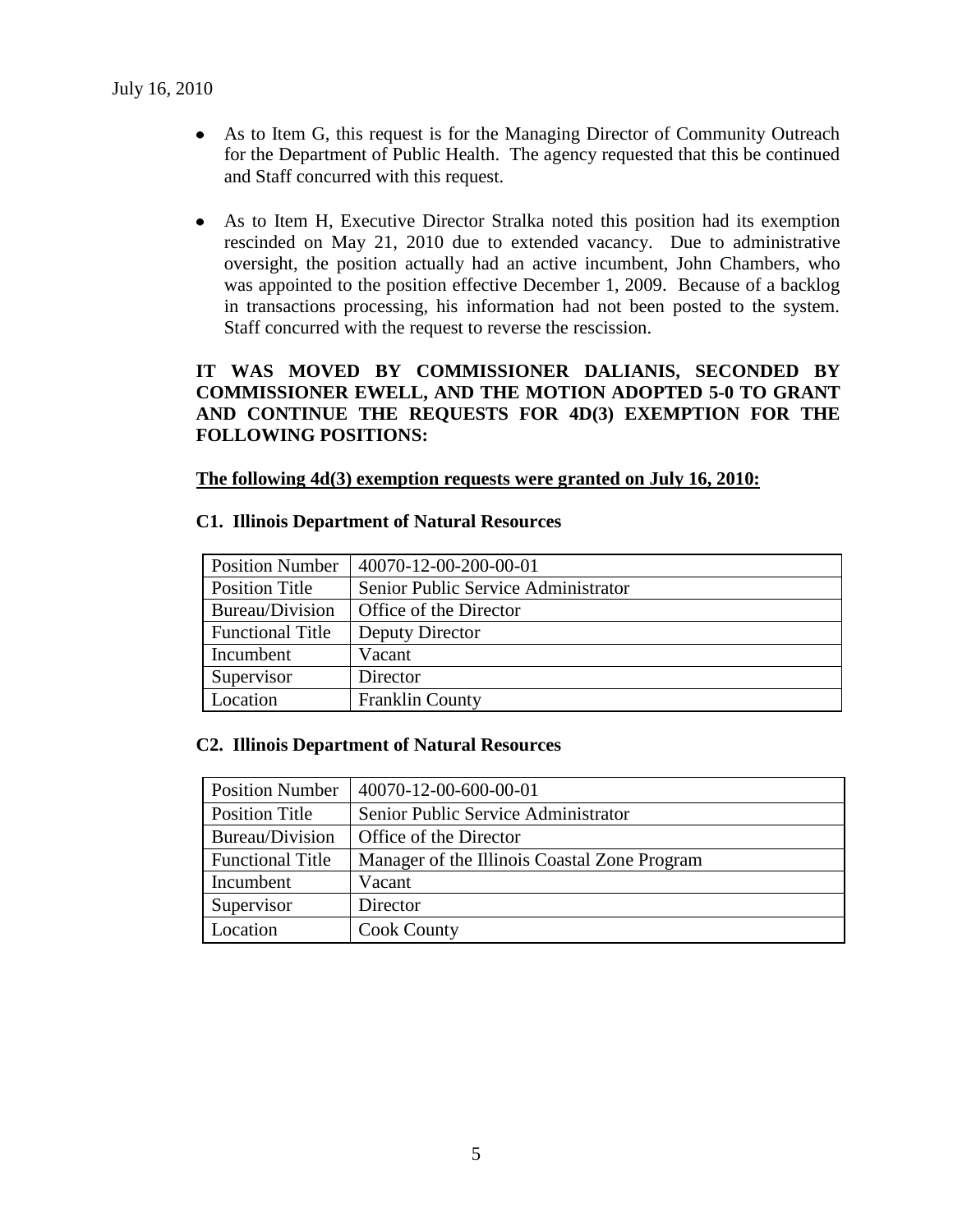- As to Item G, this request is for the Managing Director of Community Outreach for the Department of Public Health. The agency requested that this be continued and Staff concurred with this request.
- As to Item H, Executive Director Stralka noted this position had its exemption rescinded on May 21, 2010 due to extended vacancy. Due to administrative oversight, the position actually had an active incumbent, John Chambers, who was appointed to the position effective December 1, 2009. Because of a backlog in transactions processing, his information had not been posted to the system. Staff concurred with the request to reverse the rescission.

# **IT WAS MOVED BY COMMISSIONER DALIANIS, SECONDED BY COMMISSIONER EWELL, AND THE MOTION ADOPTED 5-0 TO GRANT AND CONTINUE THE REQUESTS FOR 4D(3) EXEMPTION FOR THE FOLLOWING POSITIONS:**

#### **The following 4d(3) exemption requests were granted on July 16, 2010:**

#### **C1. Illinois Department of Natural Resources**

| <b>Position Number</b>  | 40070-12-00-200-00-01               |
|-------------------------|-------------------------------------|
| <b>Position Title</b>   | Senior Public Service Administrator |
| Bureau/Division         | Office of the Director              |
| <b>Functional Title</b> | Deputy Director                     |
| Incumbent               | Vacant                              |
| Supervisor              | Director                            |
| Location                | <b>Franklin County</b>              |

### **C2. Illinois Department of Natural Resources**

| <b>Position Number</b>  | 40070-12-00-600-00-01                        |
|-------------------------|----------------------------------------------|
| Position Title          | Senior Public Service Administrator          |
| Bureau/Division         | Office of the Director                       |
| <b>Functional Title</b> | Manager of the Illinois Coastal Zone Program |
| Incumbent               | Vacant                                       |
| Supervisor              | Director                                     |
| Location                | <b>Cook County</b>                           |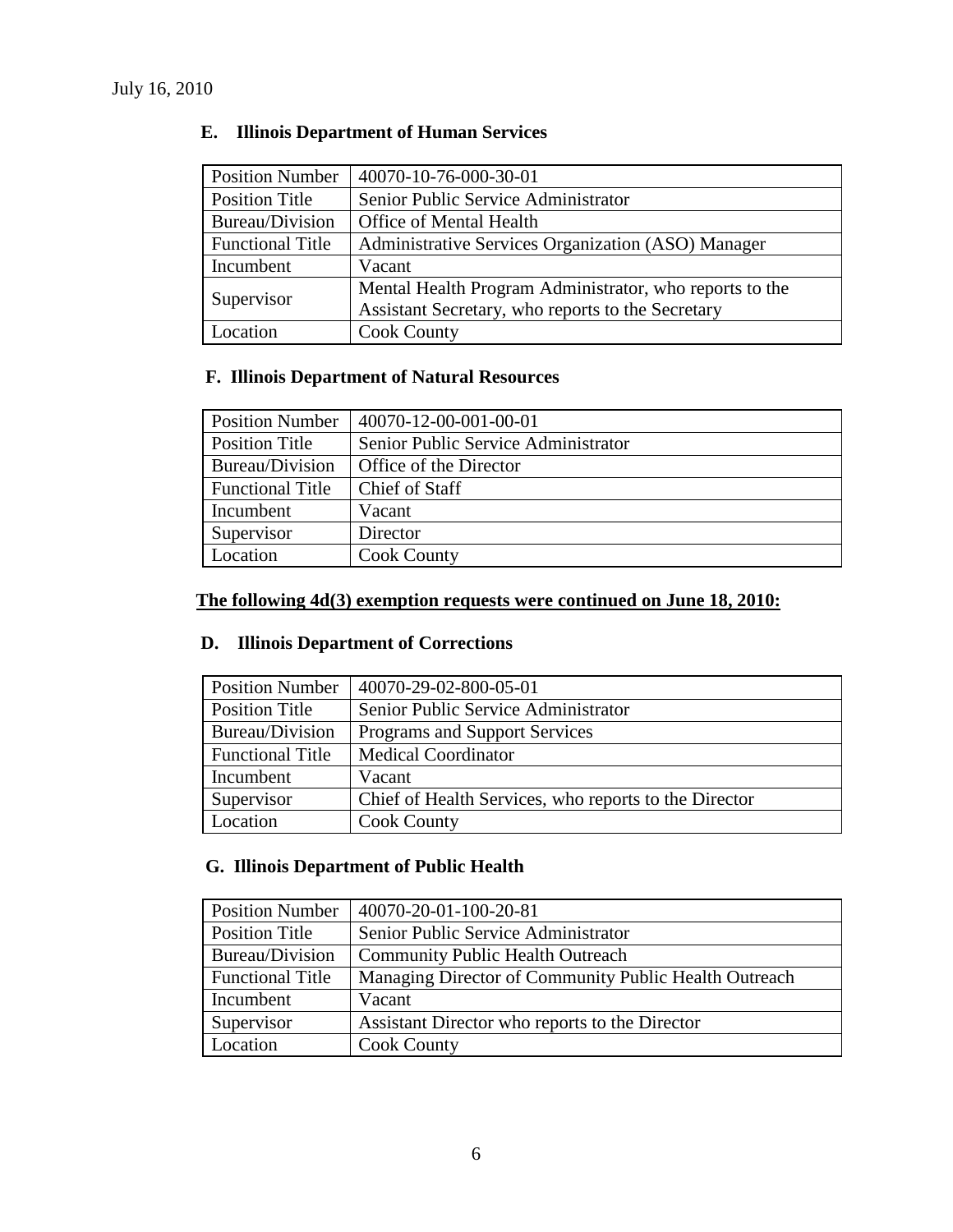| <b>Position Number</b>  | 40070-10-76-000-30-01                                   |
|-------------------------|---------------------------------------------------------|
| <b>Position Title</b>   | Senior Public Service Administrator                     |
| Bureau/Division         | Office of Mental Health                                 |
| <b>Functional Title</b> | Administrative Services Organization (ASO) Manager      |
| Incumbent               | Vacant                                                  |
|                         | Mental Health Program Administrator, who reports to the |
| Supervisor              | Assistant Secretary, who reports to the Secretary       |
| Location                | <b>Cook County</b>                                      |

# **E. Illinois Department of Human Services**

# **F. Illinois Department of Natural Resources**

| <b>Position Number</b>  | 40070-12-00-001-00-01               |
|-------------------------|-------------------------------------|
| <b>Position Title</b>   | Senior Public Service Administrator |
| Bureau/Division         | Office of the Director              |
| <b>Functional Title</b> | Chief of Staff                      |
| Incumbent               | Vacant                              |
| Supervisor              | Director                            |
| Location                | <b>Cook County</b>                  |

# **The following 4d(3) exemption requests were continued on June 18, 2010:**

# **D. Illinois Department of Corrections**

| <b>Position Number</b>  | 40070-29-02-800-05-01                                 |
|-------------------------|-------------------------------------------------------|
| <b>Position Title</b>   | Senior Public Service Administrator                   |
| Bureau/Division         | <b>Programs and Support Services</b>                  |
| <b>Functional Title</b> | <b>Medical Coordinator</b>                            |
| Incumbent               | Vacant                                                |
| Supervisor              | Chief of Health Services, who reports to the Director |
| Location                | <b>Cook County</b>                                    |

# **G. Illinois Department of Public Health**

| <b>Position Number</b>  | 40070-20-01-100-20-81                                 |
|-------------------------|-------------------------------------------------------|
| Position Title          | Senior Public Service Administrator                   |
| Bureau/Division         | <b>Community Public Health Outreach</b>               |
| <b>Functional Title</b> | Managing Director of Community Public Health Outreach |
| Incumbent               | Vacant                                                |
| Supervisor              | Assistant Director who reports to the Director        |
| Location                | <b>Cook County</b>                                    |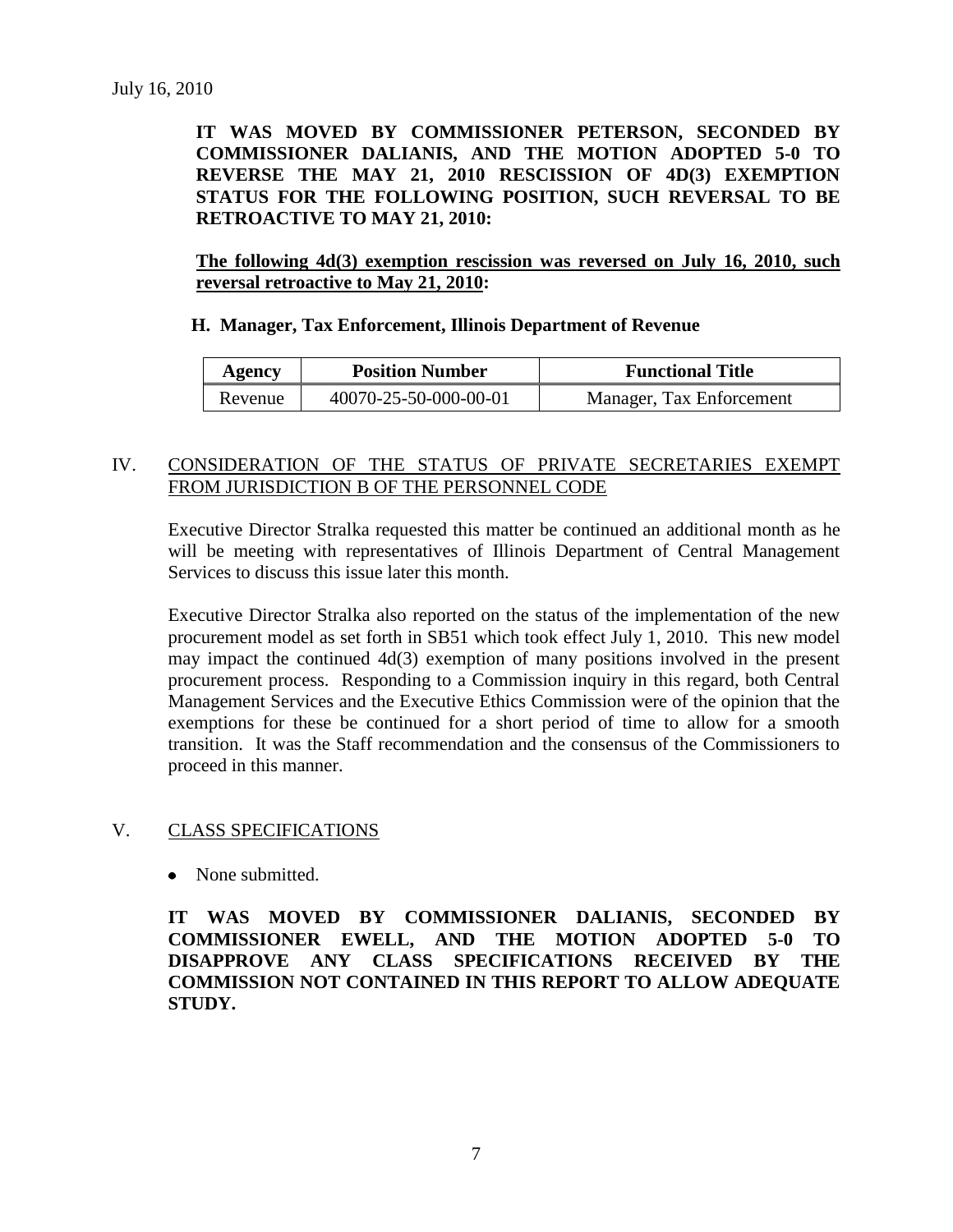**IT WAS MOVED BY COMMISSIONER PETERSON, SECONDED BY COMMISSIONER DALIANIS, AND THE MOTION ADOPTED 5-0 TO REVERSE THE MAY 21, 2010 RESCISSION OF 4D(3) EXEMPTION STATUS FOR THE FOLLOWING POSITION, SUCH REVERSAL TO BE RETROACTIVE TO MAY 21, 2010:**

**The following 4d(3) exemption rescission was reversed on July 16, 2010, such reversal retroactive to May 21, 2010:**

#### **H. Manager, Tax Enforcement, Illinois Department of Revenue**

| Agency  | <b>Position Number</b> | <b>Functional Title</b>  |
|---------|------------------------|--------------------------|
| Revenue | 40070-25-50-000-00-01  | Manager, Tax Enforcement |

#### IV. CONSIDERATION OF THE STATUS OF PRIVATE SECRETARIES EXEMPT FROM JURISDICTION B OF THE PERSONNEL CODE

Executive Director Stralka requested this matter be continued an additional month as he will be meeting with representatives of Illinois Department of Central Management Services to discuss this issue later this month.

Executive Director Stralka also reported on the status of the implementation of the new procurement model as set forth in SB51 which took effect July 1, 2010. This new model may impact the continued 4d(3) exemption of many positions involved in the present procurement process. Responding to a Commission inquiry in this regard, both Central Management Services and the Executive Ethics Commission were of the opinion that the exemptions for these be continued for a short period of time to allow for a smooth transition. It was the Staff recommendation and the consensus of the Commissioners to proceed in this manner.

### V. CLASS SPECIFICATIONS

None submitted.

**IT WAS MOVED BY COMMISSIONER DALIANIS, SECONDED BY COMMISSIONER EWELL, AND THE MOTION ADOPTED 5-0 TO DISAPPROVE ANY CLASS SPECIFICATIONS RECEIVED BY THE COMMISSION NOT CONTAINED IN THIS REPORT TO ALLOW ADEQUATE STUDY.**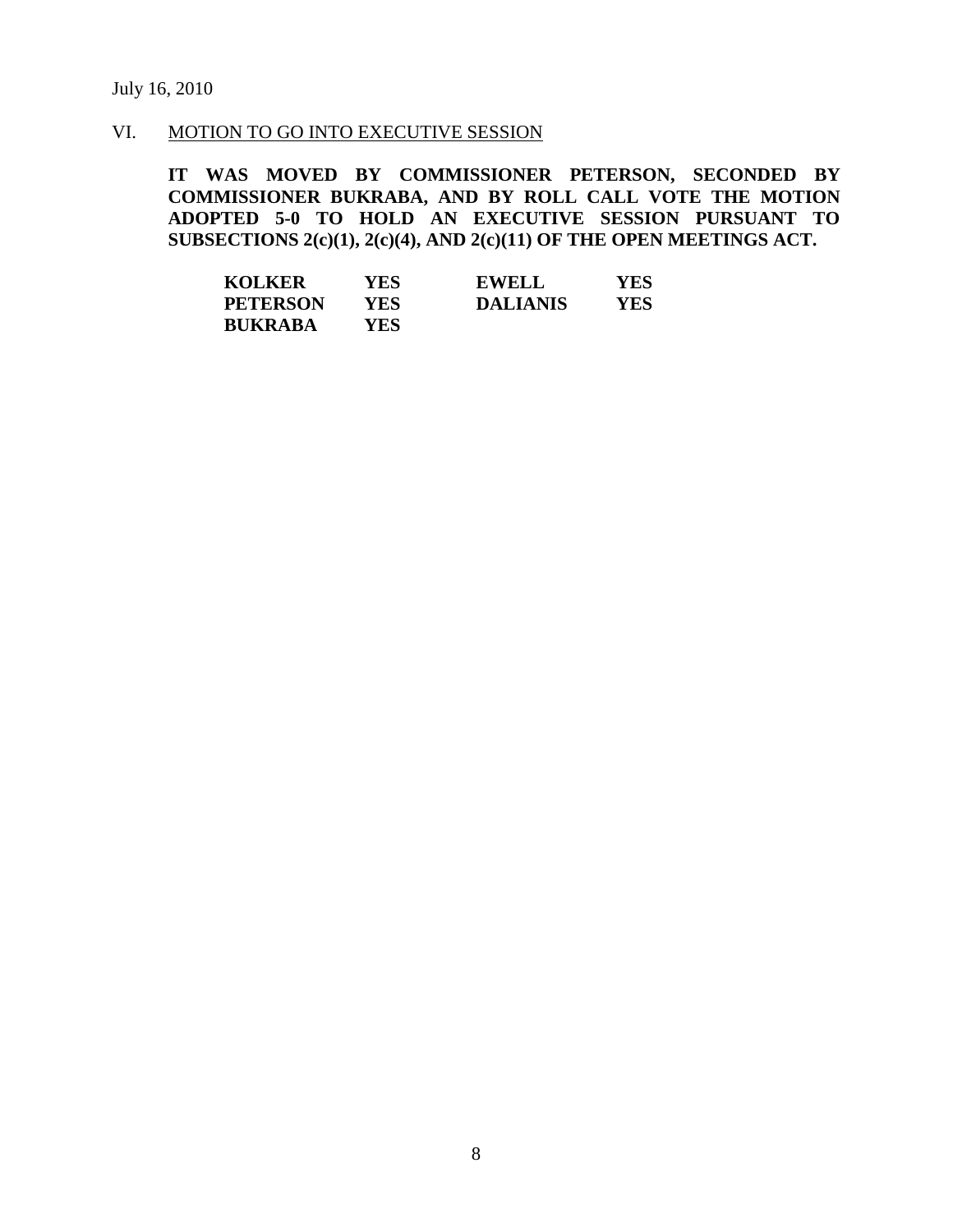## VI. MOTION TO GO INTO EXECUTIVE SESSION

**IT WAS MOVED BY COMMISSIONER PETERSON, SECONDED BY COMMISSIONER BUKRABA, AND BY ROLL CALL VOTE THE MOTION ADOPTED 5-0 TO HOLD AN EXECUTIVE SESSION PURSUANT TO SUBSECTIONS 2(c)(1), 2(c)(4), AND 2(c)(11) OF THE OPEN MEETINGS ACT.** 

| <b>KOLKER</b>   | YES  | <b>EWELL</b>    | YES |
|-----------------|------|-----------------|-----|
| <b>PETERSON</b> | YES. | <b>DALIANIS</b> | YES |
| <b>BUKRABA</b>  | YES. |                 |     |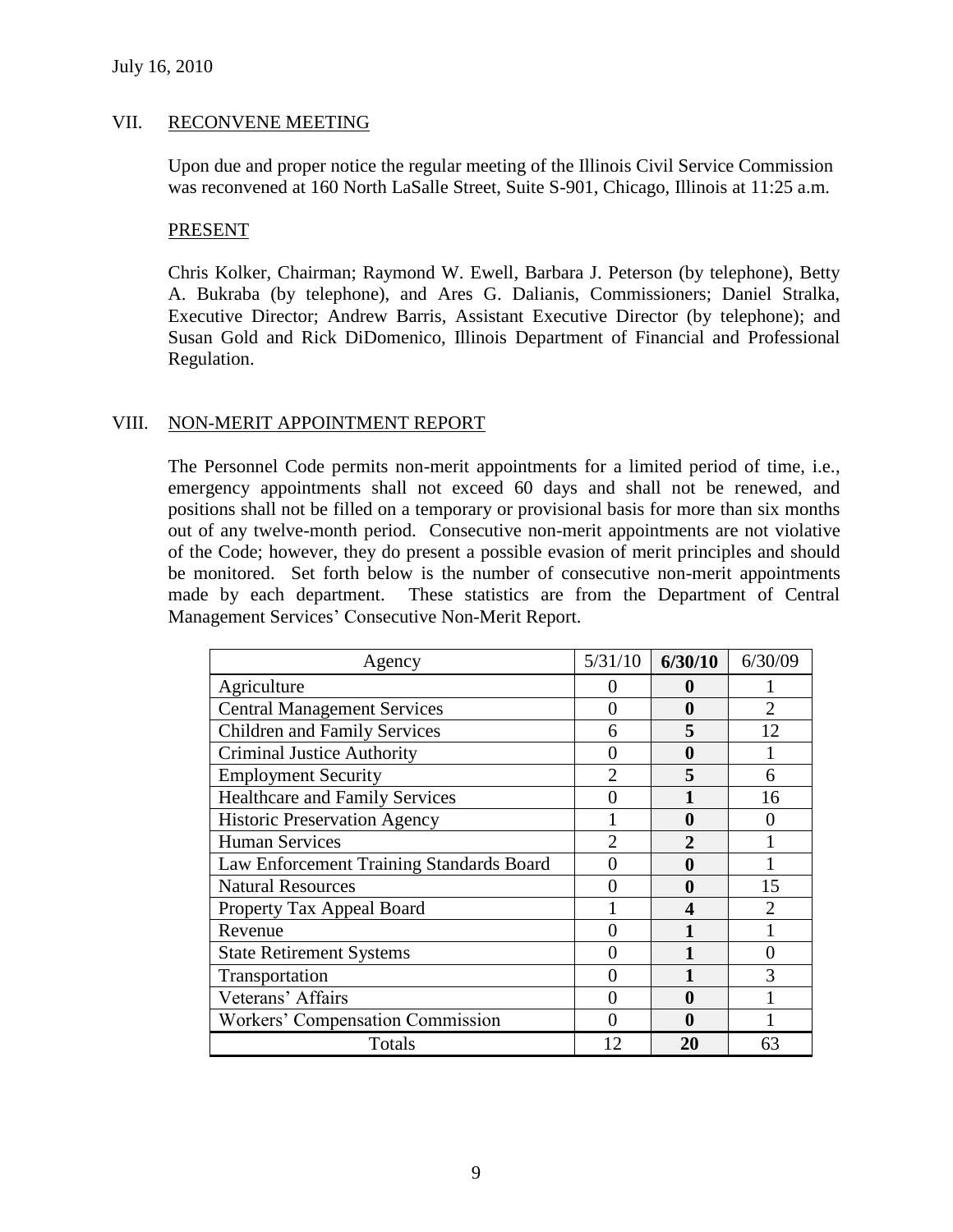## VII. RECONVENE MEETING

Upon due and proper notice the regular meeting of the Illinois Civil Service Commission was reconvened at 160 North LaSalle Street, Suite S-901, Chicago, Illinois at 11:25 a.m.

### PRESENT

Chris Kolker, Chairman; Raymond W. Ewell, Barbara J. Peterson (by telephone), Betty A. Bukraba (by telephone), and Ares G. Dalianis, Commissioners; Daniel Stralka, Executive Director; Andrew Barris, Assistant Executive Director (by telephone); and Susan Gold and Rick DiDomenico, Illinois Department of Financial and Professional Regulation.

## VIII. NON-MERIT APPOINTMENT REPORT

The Personnel Code permits non-merit appointments for a limited period of time, i.e., emergency appointments shall not exceed 60 days and shall not be renewed, and positions shall not be filled on a temporary or provisional basis for more than six months out of any twelve-month period. Consecutive non-merit appointments are not violative of the Code; however, they do present a possible evasion of merit principles and should be monitored. Set forth below is the number of consecutive non-merit appointments made by each department. These statistics are from the Department of Central Management Services' Consecutive Non-Merit Report.

| Agency                                   | 5/31/10        | 6/30/10      | 6/30/09                     |
|------------------------------------------|----------------|--------------|-----------------------------|
| Agriculture                              | 0              | 0            |                             |
| <b>Central Management Services</b>       | 0              | 0            | $\overline{2}$              |
| <b>Children and Family Services</b>      | 6              | 5            | 12                          |
| <b>Criminal Justice Authority</b>        | 0              | 0            |                             |
| <b>Employment Security</b>               | $\overline{2}$ | 5            | 6                           |
| <b>Healthcare and Family Services</b>    | 0              |              | 16                          |
| <b>Historic Preservation Agency</b>      |                | $\mathbf{0}$ |                             |
| <b>Human Services</b>                    | っ              |              |                             |
| Law Enforcement Training Standards Board | 0              | 0            |                             |
| <b>Natural Resources</b>                 | 0              | $\bf{0}$     | 15                          |
| Property Tax Appeal Board                |                | 4            | $\mathcal{D}_{\mathcal{L}}$ |
| Revenue                                  | 0              |              |                             |
| <b>State Retirement Systems</b>          | 0              |              | 0                           |
| Transportation                           | 0              |              | 3                           |
| Veterans' Affairs                        | 0              | 0            |                             |
| Workers' Compensation Commission         | 0              | 0            |                             |
| Totals                                   | 12             | 20           | 63                          |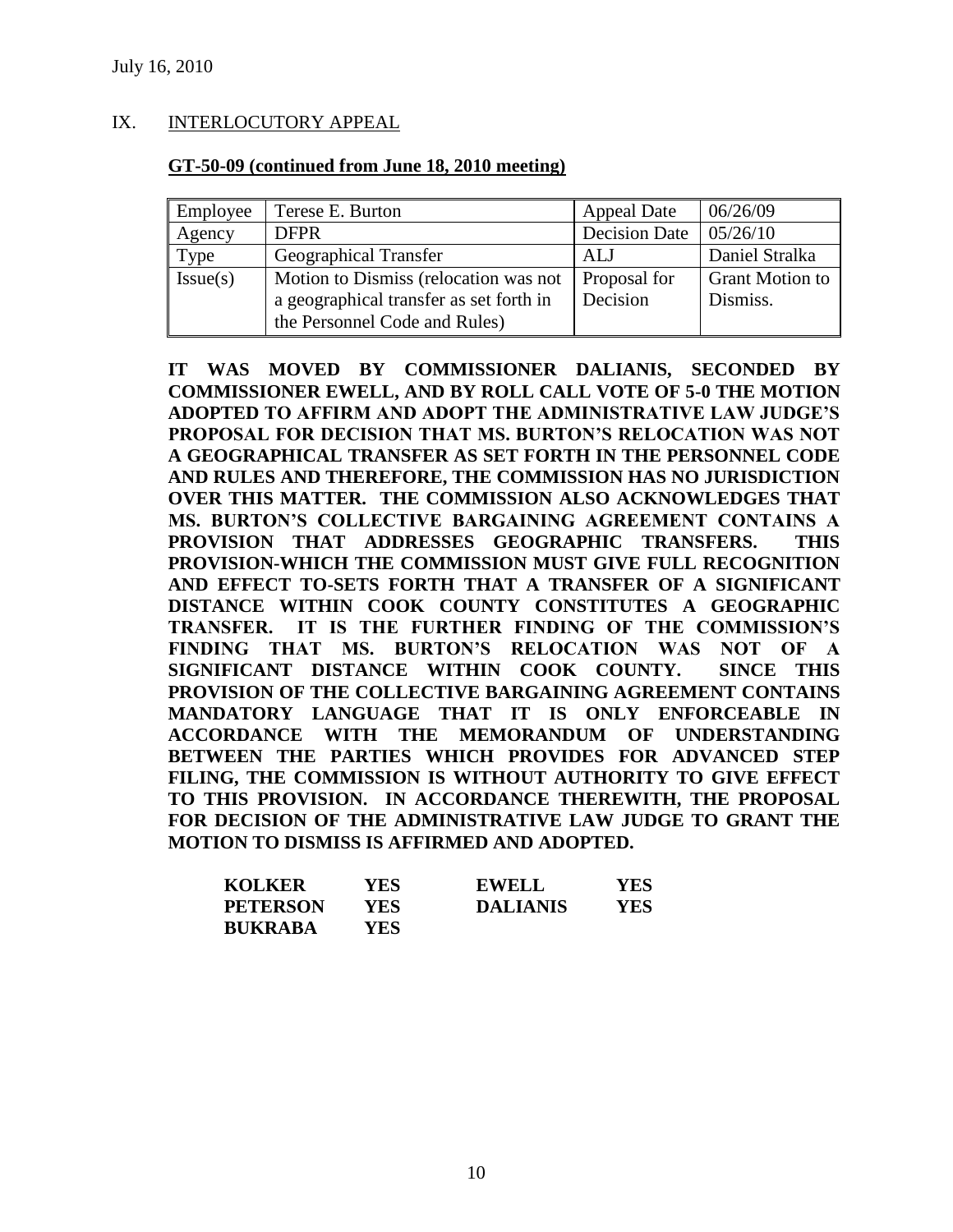## IX. INTERLOCUTORY APPEAL

#### **GT-50-09 (continued from June 18, 2010 meeting)**

| Employee | Terese E. Burton                                                                                                  | <b>Appeal Date</b>       | 06/26/09                           |
|----------|-------------------------------------------------------------------------------------------------------------------|--------------------------|------------------------------------|
| Agency   | <b>DFPR</b>                                                                                                       | <b>Decision Date</b>     | 05/26/10                           |
| Type     | Geographical Transfer                                                                                             | ALJ                      | Daniel Stralka                     |
| Issue(s) | Motion to Dismiss (relocation was not<br>a geographical transfer as set forth in<br>the Personnel Code and Rules) | Proposal for<br>Decision | <b>Grant Motion to</b><br>Dismiss. |

**IT WAS MOVED BY COMMISSIONER DALIANIS, SECONDED BY COMMISSIONER EWELL, AND BY ROLL CALL VOTE OF 5-0 THE MOTION ADOPTED TO AFFIRM AND ADOPT THE ADMINISTRATIVE LAW JUDGE'S PROPOSAL FOR DECISION THAT MS. BURTON'S RELOCATION WAS NOT A GEOGRAPHICAL TRANSFER AS SET FORTH IN THE PERSONNEL CODE AND RULES AND THEREFORE, THE COMMISSION HAS NO JURISDICTION OVER THIS MATTER. THE COMMISSION ALSO ACKNOWLEDGES THAT MS. BURTON'S COLLECTIVE BARGAINING AGREEMENT CONTAINS A PROVISION THAT ADDRESSES GEOGRAPHIC TRANSFERS. THIS PROVISION-WHICH THE COMMISSION MUST GIVE FULL RECOGNITION AND EFFECT TO-SETS FORTH THAT A TRANSFER OF A SIGNIFICANT DISTANCE WITHIN COOK COUNTY CONSTITUTES A GEOGRAPHIC TRANSFER. IT IS THE FURTHER FINDING OF THE COMMISSION'S FINDING THAT MS. BURTON'S RELOCATION WAS NOT OF A SIGNIFICANT DISTANCE WITHIN COOK COUNTY. SINCE THIS PROVISION OF THE COLLECTIVE BARGAINING AGREEMENT CONTAINS MANDATORY LANGUAGE THAT IT IS ONLY ENFORCEABLE IN ACCORDANCE WITH THE MEMORANDUM OF UNDERSTANDING BETWEEN THE PARTIES WHICH PROVIDES FOR ADVANCED STEP FILING, THE COMMISSION IS WITHOUT AUTHORITY TO GIVE EFFECT TO THIS PROVISION. IN ACCORDANCE THEREWITH, THE PROPOSAL FOR DECISION OF THE ADMINISTRATIVE LAW JUDGE TO GRANT THE MOTION TO DISMISS IS AFFIRMED AND ADOPTED.**

| <b>KOLKER</b>   | YES  | <b>EWELL</b>    | YES. |
|-----------------|------|-----------------|------|
| <b>PETERSON</b> | YES. | <b>DALIANIS</b> | YES  |
| <b>BUKRABA</b>  | YES. |                 |      |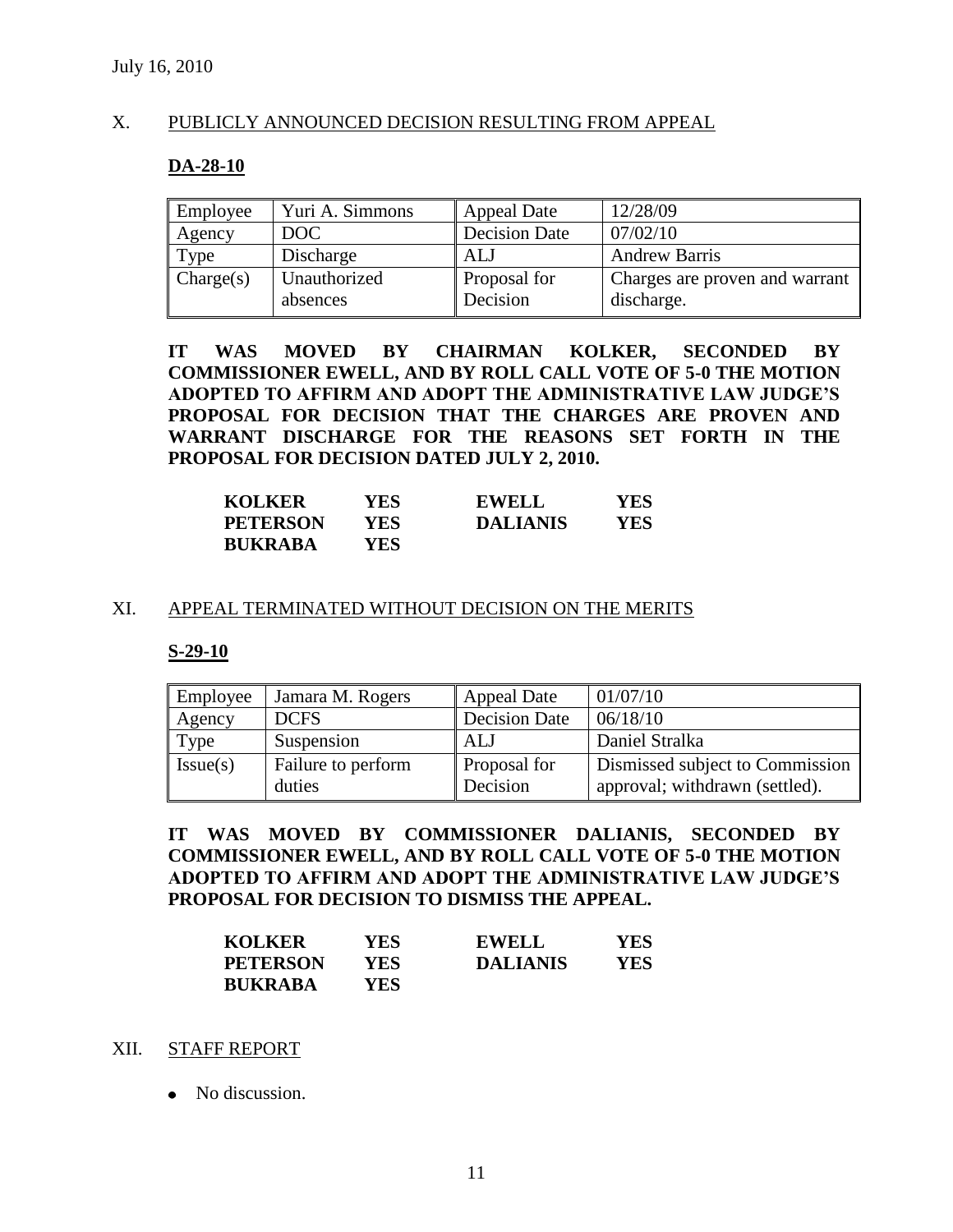### X. PUBLICLY ANNOUNCED DECISION RESULTING FROM APPEAL

### **DA-28-10**

| Employee  | Yuri A. Simmons | <b>Appeal Date</b>   | 12/28/09                       |
|-----------|-----------------|----------------------|--------------------------------|
| Agency    | DOC.            | <b>Decision Date</b> | 07/02/10                       |
| Type      | Discharge       | AL J                 | <b>Andrew Barris</b>           |
| Change(s) | Unauthorized    | <b>Proposal for</b>  | Charges are proven and warrant |
|           | absences        | Decision             | discharge.                     |

**IT WAS MOVED BY CHAIRMAN KOLKER, SECONDED BY COMMISSIONER EWELL, AND BY ROLL CALL VOTE OF 5-0 THE MOTION ADOPTED TO AFFIRM AND ADOPT THE ADMINISTRATIVE LAW JUDGE'S PROPOSAL FOR DECISION THAT THE CHARGES ARE PROVEN AND WARRANT DISCHARGE FOR THE REASONS SET FORTH IN THE PROPOSAL FOR DECISION DATED JULY 2, 2010.**

| <b>KOLKER</b>   | YES. | <b>EWELL</b>    | YES  |
|-----------------|------|-----------------|------|
| <b>PETERSON</b> | YES. | <b>DALIANIS</b> | YES. |
| <b>BUKRABA</b>  | YES  |                 |      |

### XI. APPEAL TERMINATED WITHOUT DECISION ON THE MERITS

#### **S-29-10**

| Employee | Jamara M. Rogers             | <b>Appeal Date</b>       | 01/07/10                                                          |
|----------|------------------------------|--------------------------|-------------------------------------------------------------------|
| Agency   | <b>DCFS</b>                  | Decision Date            | 06/18/10                                                          |
| Type     | Suspension                   | ALJ                      | Daniel Stralka                                                    |
| Issue(s) | Failure to perform<br>duties | Proposal for<br>Decision | Dismissed subject to Commission<br>approval; withdrawn (settled). |

**IT WAS MOVED BY COMMISSIONER DALIANIS, SECONDED BY COMMISSIONER EWELL, AND BY ROLL CALL VOTE OF 5-0 THE MOTION ADOPTED TO AFFIRM AND ADOPT THE ADMINISTRATIVE LAW JUDGE'S PROPOSAL FOR DECISION TO DISMISS THE APPEAL.** 

| <b>KOLKER</b>   | YES | <b>EWELL</b>    | <b>YES</b> |
|-----------------|-----|-----------------|------------|
| <b>PETERSON</b> | YES | <b>DALIANIS</b> | YES        |
| <b>BUKRABA</b>  | YES |                 |            |

#### XII. STAFF REPORT

• No discussion.